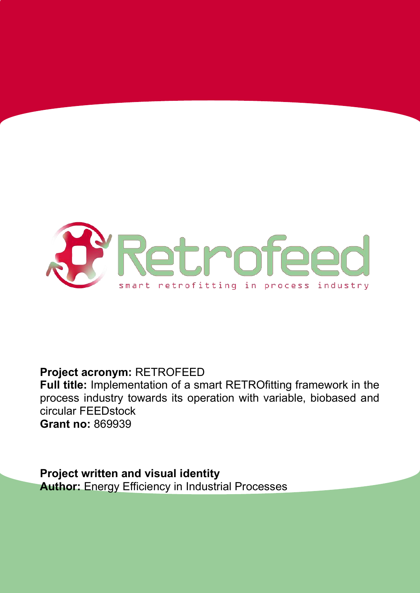

### **Project acronym:** RETROFEED

**Full title:** Implementation of a smart RETROfitting framework in the process industry towards its operation with variable, biobased and circular FEEDstock **Grant no:** 869939

**Project written and visual identity Author: Energy Efficiency in Industrial Processes**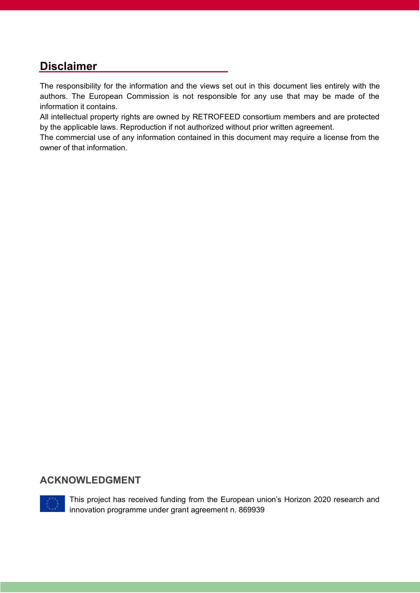### **Disclaimer**

The responsibility for the information and the views set out in this document lies entirely with the authors. The European Commission is not responsible for any use that may be made of the information it contains.

All intellectual property rights are owned by RETROFEED consortium members and are protected by the applicable laws. Reproduction if not authorized without prior written agreement.

The commercial use of any information contained in this document may require a license from the owner of that information.

#### **ACKNOWLEDGMENT**



This project has received funding from the European union's Horizon 2020 research and innovation programme under grant agreement n. 869939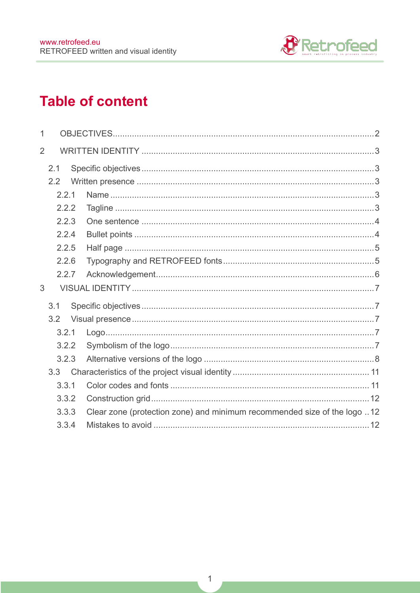

## **Table of content**

| 1              |       |       |                                                                          |  |  |
|----------------|-------|-------|--------------------------------------------------------------------------|--|--|
| $\overline{2}$ |       |       |                                                                          |  |  |
|                | 2.1   |       |                                                                          |  |  |
|                | 2.2   |       |                                                                          |  |  |
|                |       | 2.2.1 |                                                                          |  |  |
|                |       | 2.2.2 |                                                                          |  |  |
|                |       | 2.2.3 |                                                                          |  |  |
|                |       | 2.2.4 |                                                                          |  |  |
|                |       | 2.2.5 |                                                                          |  |  |
|                | 2.2.6 |       |                                                                          |  |  |
|                | 2.2.7 |       |                                                                          |  |  |
| 3              |       |       |                                                                          |  |  |
|                | 3.1   |       |                                                                          |  |  |
|                | 3.2   |       |                                                                          |  |  |
|                |       | 3.2.1 |                                                                          |  |  |
|                |       | 3.2.2 |                                                                          |  |  |
|                |       | 3.2.3 |                                                                          |  |  |
|                | 3.3   |       |                                                                          |  |  |
|                |       | 3.3.1 |                                                                          |  |  |
|                |       | 3.3.2 |                                                                          |  |  |
|                |       | 3.3.3 | Clear zone (protection zone) and minimum recommended size of the logo 12 |  |  |
|                |       | 3.3.4 |                                                                          |  |  |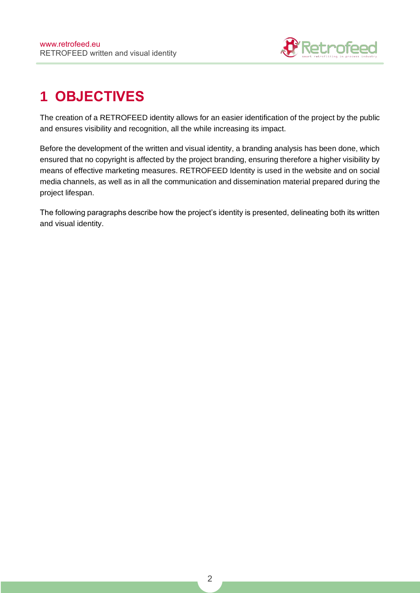

# <span id="page-3-0"></span>**1 OBJECTIVES**

The creation of a RETROFEED identity allows for an easier identification of the project by the public and ensures visibility and recognition, all the while increasing its impact.

Before the development of the written and visual identity, a branding analysis has been done, which ensured that no copyright is affected by the project branding, ensuring therefore a higher visibility by means of effective marketing measures. RETROFEED Identity is used in the website and on social media channels, as well as in all the communication and dissemination material prepared during the project lifespan.

The following paragraphs describe how the project's identity is presented, delineating both its written and visual identity.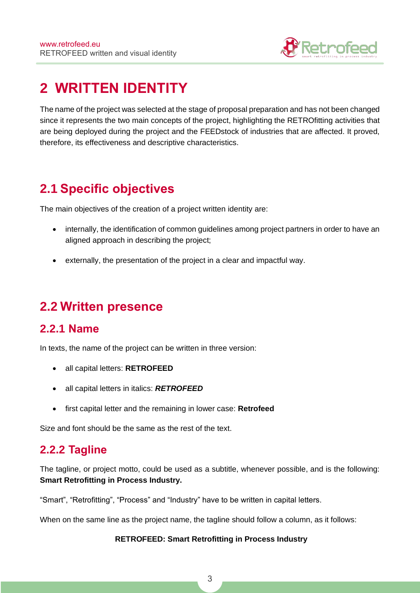

## <span id="page-4-0"></span>**2 WRITTEN IDENTITY**

The name of the project was selected at the stage of proposal preparation and has not been changed since it represents the two main concepts of the project, highlighting the RETROfitting activities that are being deployed during the project and the FEEDstock of industries that are affected. It proved, therefore, its effectiveness and descriptive characteristics.

### <span id="page-4-1"></span>**2.1 Specific objectives**

The main objectives of the creation of a project written identity are:

- internally, the identification of common guidelines among project partners in order to have an aligned approach in describing the project;
- externally, the presentation of the project in a clear and impactful way.

### <span id="page-4-2"></span>**2.2 Written presence**

#### <span id="page-4-3"></span>**2.2.1 Name**

In texts, the name of the project can be written in three version:

- all capital letters: **RETROFEED**
- all capital letters in italics: **RETROFEED**
- first capital letter and the remaining in lower case: **Retrofeed**

Size and font should be the same as the rest of the text.

### <span id="page-4-4"></span>**2.2.2 Tagline**

The tagline, or project motto, could be used as a subtitle, whenever possible, and is the following: **Smart Retrofitting in Process Industry.**

"Smart", "Retrofitting", "Process" and "Industry" have to be written in capital letters.

When on the same line as the project name, the tagline should follow a column, as it follows:

#### **RETROFEED: Smart Retrofitting in Process Industry**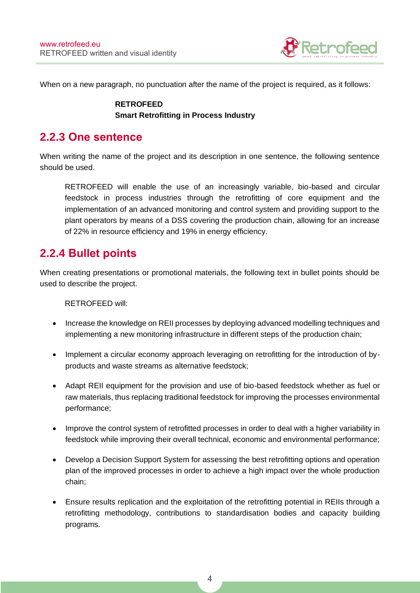

When on a new paragraph, no punctuation after the name of the project is required, as it follows:

#### **RETROFEED Smart Retrofitting in Process Industry**

### <span id="page-5-0"></span>**2.2.3 One sentence**

When writing the name of the project and its description in one sentence, the following sentence should be used.

RETROFEED will enable the use of an increasingly variable, bio-based and circular feedstock in process industries through the retrofitting of core equipment and the implementation of an advanced monitoring and control system and providing support to the plant operators by means of a DSS covering the production chain, allowing for an increase of 22% in resource efficiency and 19% in energy efficiency.

### <span id="page-5-1"></span>**2.2.4 Bullet points**

When creating presentations or promotional materials, the following text in bullet points should be used to describe the project.

RETROFEED will:

- Increase the knowledge on REII processes by deploying advanced modelling techniques and implementing a new monitoring infrastructure in different steps of the production chain;
- Implement a circular economy approach leveraging on retrofitting for the introduction of byproducts and waste streams as alternative feedstock;
- Adapt REII equipment for the provision and use of bio-based feedstock whether as fuel or raw materials, thus replacing traditional feedstock for improving the processes environmental performance;
- Improve the control system of retrofitted processes in order to deal with a higher variability in feedstock while improving their overall technical, economic and environmental performance;
- Develop a Decision Support System for assessing the best retrofitting options and operation plan of the improved processes in order to achieve a high impact over the whole production chain;
- Ensure results replication and the exploitation of the retrofitting potential in REIIs through a retrofitting methodology, contributions to standardisation bodies and capacity building programs.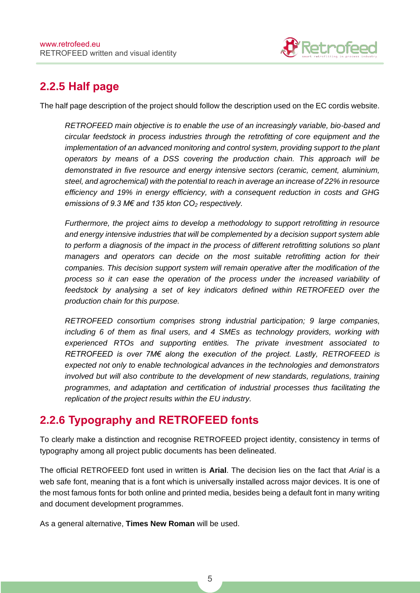

### <span id="page-6-0"></span>**2.2.5 Half page**

The half page description of the project should follow the description used on the EC cordis website.

RETROFEED main objective is to enable the use of an increasingly variable, bio-based and circular feedstock in process industries through the retrofitting of core equipment and the implementation of an advanced monitoring and control system, providing support to the plant operators by means of a DSS covering the production chain. This approach will be demonstrated in five resource and energy intensive sectors (ceramic, cement, aluminium, steel, and agrochemical) with the potential to reach in average an increase of 22% in resource efficiency and 19% in energy efficiency, with a consequent reduction in costs and GHG *emissions of 9.3 M€ and 135 kton CO*<sup>2</sup> respectively.

Furthermore, the project aims to develop a methodology to support retrofitting in resource and energy intensive industries that will be complemented by a decision support system able to perform a diagnosis of the impact in the process of different retrofitting solutions so plant managers and operators can decide on the most suitable retrofitting action for their companies. This decision support system will remain operative after the modification of the process so it can ease the operation of the process under the increased variability of feedstock by analysing a set of key indicators defined within RETROFEED over the production chain for this purpose.

RETROFEED consortium comprises strong industrial participation; 9 large companies, including 6 of them as final users, and 4 SMEs as technology providers, working with experienced RTOs and supporting entities. The private investment associated to *RETROFEED is over 7M€ along the execution of the project. Lastly, RETROFEED is* expected not only to enable technological advances in the technologies and demonstrators involved but will also contribute to the development of new standards, regulations, training programmes, and adaptation and certification of industrial processes thus facilitating the replication of the project results within the EU industry.

### <span id="page-6-1"></span>**2.2.6 Typography and RETROFEED fonts**

To clearly make a distinction and recognise RETROFEED project identity, consistency in terms of typography among all project public documents has been delineated.

The official RETROFEED font used in written is **Arial**. The decision lies on the fact that Arial is a web safe font, meaning that is a font which is universally installed across major devices. It is one of the most famous fonts for both online and printed media, besides being a default font in many writing and document development programmes.

As a general alternative, **Times New Roman** will be used.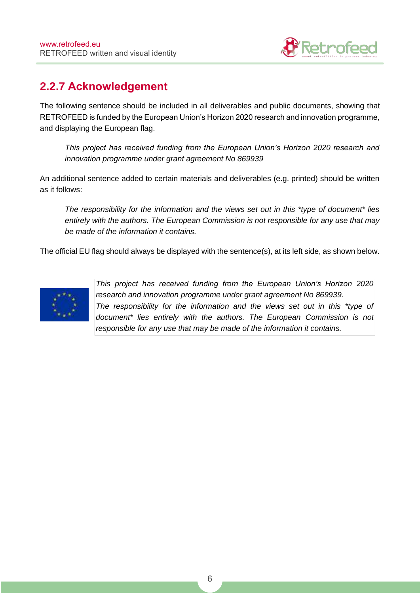

### <span id="page-7-0"></span>**2.2.7 Acknowledgement**

The following sentence should be included in all deliverables and public documents, showing that RETROFEED is funded by the European Union's Horizon 2020 research and innovation programme, and displaying the European flag.

*This project has received funding from the European Union's Horizon 2020 research and*  innovation programme under grant agreement No 869939

An additional sentence added to certain materials and deliverables (e.g. printed) should be written as it follows:

The responsibility for the information and the views set out in this \*type of document\* lies entirely with the authors. The European Commission is not responsible for any use that may be made of the information it contains.

The official EU flag should always be displayed with the sentence(s), at its left side, as shown below.



This project has r*eceived funding from the European Union's Horizon 2020*  research and innovation programme under grant agreement No 869939. The responsibility for the information and the views set out in this \*type of document\* lies entirely with the authors. The European Commission is not responsible for any use that may be made of the information it contains.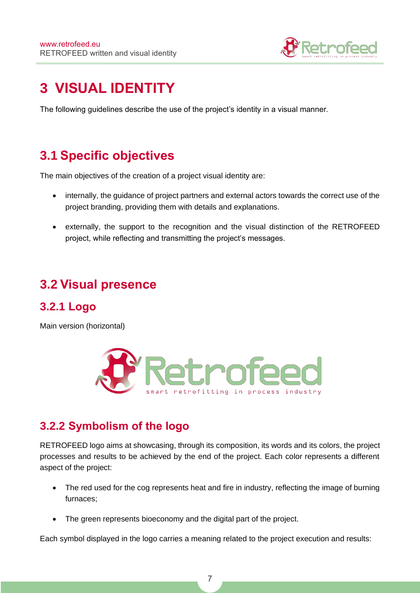

## <span id="page-8-0"></span>**3 VISUAL IDENTITY**

The following guidelines describe the use of the project's identity in a visual manner.

### <span id="page-8-1"></span>**3.1 Specific objectives**

The main objectives of the creation of a project visual identity are:

- internally, the guidance of project partners and external actors towards the correct use of the project branding, providing them with details and explanations.
- externally, the support to the recognition and the visual distinction of the RETROFEED project, while reflecting and transmitting the project's messages.

### <span id="page-8-2"></span>**3.2 Visual presence**

### <span id="page-8-3"></span>**3.2.1 Logo**

Main version (horizontal)



### <span id="page-8-4"></span>**3.2.2 Symbolism of the logo**

RETROFEED logo aims at showcasing, through its composition, its words and its colors, the project processes and results to be achieved by the end of the project. Each color represents a different aspect of the project:

- The red used for the cog represents heat and fire in industry, reflecting the image of burning furnaces;
- The green represents bioeconomy and the digital part of the project.

Each symbol displayed in the logo carries a meaning related to the project execution and results: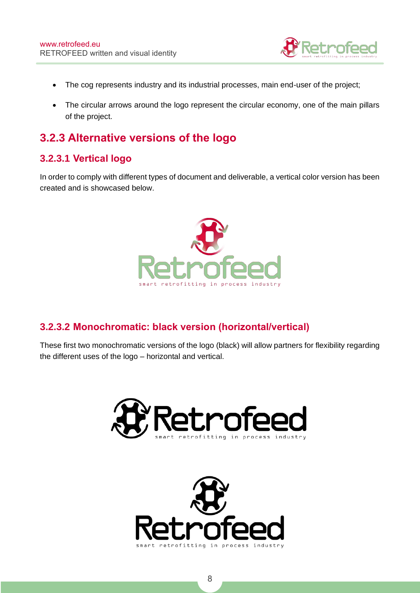

- The cog represents industry and its industrial processes, main end-user of the project;
- The circular arrows around the logo represent the circular economy, one of the main pillars of the project.

### <span id="page-9-0"></span>**3.2.3 Alternative versions of the logo**

#### **3.2.3.1 Vertical logo**

In order to comply with different types of document and deliverable, a vertical color version has been created and is showcased below.



#### **3.2.3.2 Monochromatic: black version (horizontal/vertical)**

These first two monochromatic versions of the logo (black) will allow partners for flexibility regarding the different uses of the logo – horizontal and vertical.



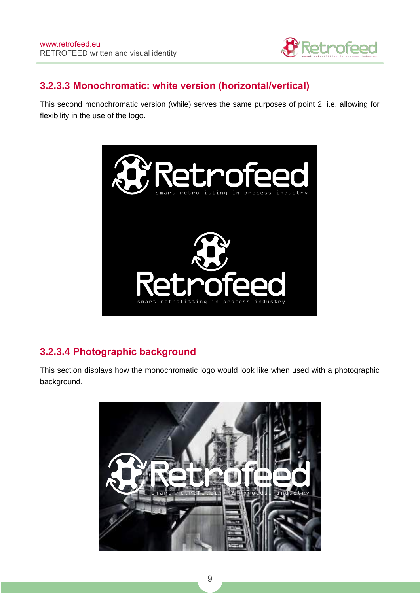

#### **3.2.3.3 Monochromatic: white version (horizontal/vertical)**

This second monochromatic version (while) serves the same purposes of point 2, i.e. allowing for flexibility in the use of the logo.



#### **3.2.3.4 Photographic background**

This section displays how the monochromatic logo would look like when used with a photographic background.

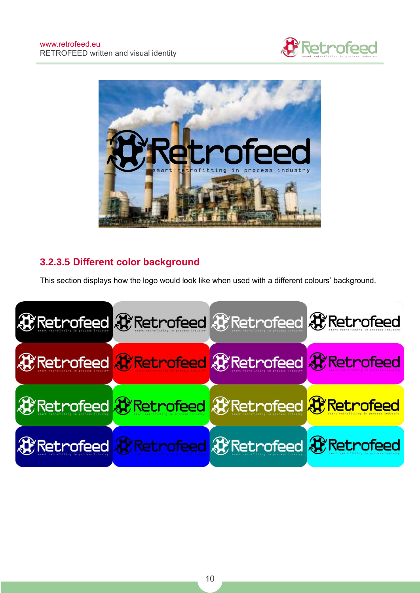



### **3.2.3.5 Different color background**

This section displays how the logo would look like when used with a different colours' background.

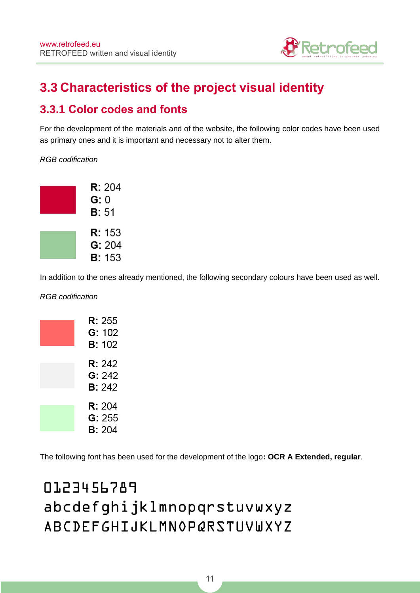

## <span id="page-12-0"></span>**3.3 Characteristics of the project visual identity**

### <span id="page-12-1"></span>**3.3.1 Color codes and fonts**

For the development of the materials and of the website, the following color codes have been used as primary ones and it is important and necessary not to alter them.

RGB codification



In addition to the ones already mentioned, the following secondary colours have been used as well.

RGB codification

| <b>R:</b> 255<br>G: 102<br><b>B:</b> 102  |
|-------------------------------------------|
| <b>R:</b> 242<br>G: 242<br><b>B</b> : 242 |
| <b>R:</b> 204<br>G: 255<br><b>B:</b> 204  |

The following font has been used for the development of the logo**: OCR A Extended, regular**.

# 0123456789 abcdefghijklmnopqrstuvwxyz ABCDEFGHIJKLMNOPQRSTUVWXYZ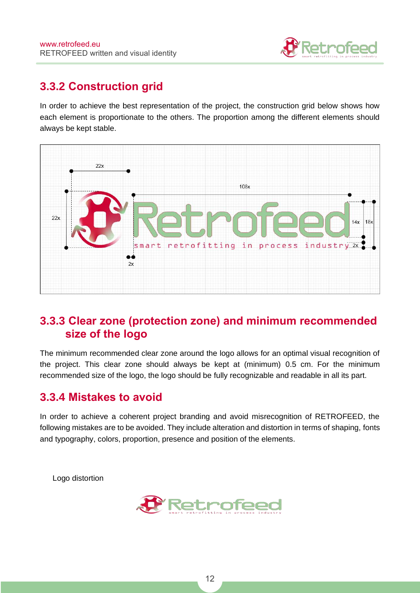

### <span id="page-13-0"></span>**3.3.2 Construction grid**

In order to achieve the best representation of the project, the construction grid below shows how each element is proportionate to the others. The proportion among the different elements should always be kept stable.



### <span id="page-13-1"></span>**3.3.3 Clear zone (protection zone) and minimum recommended size of the logo**

The minimum recommended clear zone around the logo allows for an optimal visual recognition of the project. This clear zone should always be kept at (minimum) 0.5 cm. For the minimum recommended size of the logo, the logo should be fully recognizable and readable in all its part.

### <span id="page-13-2"></span>**3.3.4 Mistakes to avoid**

In order to achieve a coherent project branding and avoid misrecognition of RETROFEED, the following mistakes are to be avoided. They include alteration and distortion in terms of shaping, fonts and typography, colors, proportion, presence and position of the elements.

Logo distortion